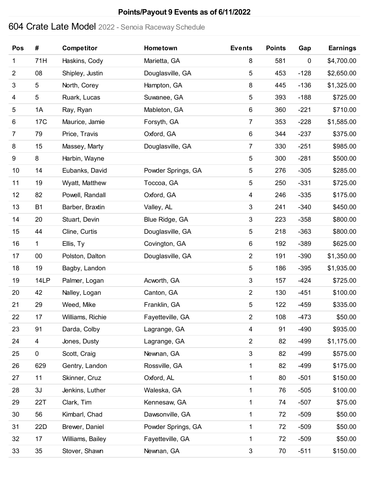# Crate Late Model 2022 - Senoia Raceway Schedule

| Pos            | #               | Competitor       | Hometown           | <b>Events</b>  | <b>Points</b> | Gap         | <b>Earnings</b> |
|----------------|-----------------|------------------|--------------------|----------------|---------------|-------------|-----------------|
| 1              | 71H             | Haskins, Cody    | Marietta, GA       | 8              | 581           | $\mathbf 0$ | \$4,700.00      |
| $\overline{2}$ | 08              | Shipley, Justin  | Douglasville, GA   | 5              | 453           | $-128$      | \$2,650.00      |
| 3              | 5               | North, Corey     | Hampton, GA        | 8              | 445           | $-136$      | \$1,325.00      |
| 4              | 5               | Ruark, Lucas     | Suwanee, GA        | 5              | 393           | $-188$      | \$725.00        |
| 5              | 1A              | Ray, Ryan        | Mableton, GA       | 6              | 360           | $-221$      | \$710.00        |
| 6              | 17 <sub>C</sub> | Maurice, Jamie   | Forsyth, GA        | 7              | 353           | $-228$      | \$1,585.00      |
| $\overline{7}$ | 79              | Price, Travis    | Oxford, GA         | $\,6\,$        | 344           | $-237$      | \$375.00        |
| 8              | 15              | Massey, Marty    | Douglasville, GA   | 7              | 330           | $-251$      | \$985.00        |
| 9              | 8               | Harbin, Wayne    |                    | 5              | 300           | $-281$      | \$500.00        |
| 10             | 14              | Eubanks, David   | Powder Springs, GA | 5              | 276           | $-305$      | \$285.00        |
| 11             | 19              | Wyatt, Matthew   | Toccoa, GA         | 5              | 250           | $-331$      | \$725.00        |
| 12             | 82              | Powell, Randall  | Oxford, GA         | 4              | 246           | $-335$      | \$175.00        |
| 13             | B <sub>1</sub>  | Barber, Braxtin  | Valley, AL         | 3              | 241           | $-340$      | \$450.00        |
| 14             | 20              | Stuart, Devin    | Blue Ridge, GA     | $\sqrt{3}$     | 223           | $-358$      | \$800.00        |
| 15             | 44              | Cline, Curtis    | Douglasville, GA   | 5              | 218           | $-363$      | \$800.00        |
| 16             | 1               | Ellis, Ty        | Covington, GA      | 6              | 192           | $-389$      | \$625.00        |
| 17             | $00\,$          | Polston, Dalton  | Douglasville, GA   | $\overline{2}$ | 191           | $-390$      | \$1,350.00      |
| 18             | 19              | Bagby, Landon    |                    | 5              | 186           | $-395$      | \$1,935.00      |
| 19             | 14LP            | Palmer, Logan    | Acworth, GA        | $\sqrt{3}$     | 157           | $-424$      | \$725.00        |
| 20             | 42              | Nalley, Logan    | Canton, GA         | $\overline{2}$ | 130           | $-451$      | \$100.00        |
| 21             | 29              | Weed, Mike       | Franklin, GA       | 5              | 122           | $-459$      | \$335.00        |
| 22             | 17              | Williams, Richie | Fayetteville, GA   | $\overline{2}$ | 108           | $-473$      | \$50.00         |
| 23             | 91              | Darda, Colby     | Lagrange, GA       | 4              | 91            | $-490$      | \$935.00        |
| 24             | 4               | Jones, Dusty     | Lagrange, GA       | $\overline{2}$ | 82            | $-499$      | \$1,175.00      |
| 25             | $\mathbf 0$     | Scott, Craig     | Newnan, GA         | 3              | 82            | $-499$      | \$575.00        |
| 26             | 629             | Gentry, Landon   | Rossville, GA      | 1              | 82            | $-499$      | \$175.00        |
| 27             | 11              | Skinner, Cruz    | Oxford, AL         | 1              | 80            | $-501$      | \$150.00        |
| 28             | 3J              | Jenkins, Luther  | Waleska, GA        | 1              | 76            | $-505$      | \$100.00        |
| 29             | 22T             | Clark, Tim       | Kennesaw, GA       | 1              | 74            | $-507$      | \$75.00         |
| 30             | 56              | Kimbarl, Chad    | Dawsonville, GA    | 1              | 72            | $-509$      | \$50.00         |
| 31             | 22D             | Brewer, Daniel   | Powder Springs, GA | 1              | 72            | $-509$      | \$50.00         |
| 32             | 17              | Williams, Bailey | Fayetteville, GA   | 1              | 72            | $-509$      | \$50.00         |
| 33             | 35              | Stover, Shawn    | Newnan, GA         | $\sqrt{3}$     | 70            | $-511$      | \$150.00        |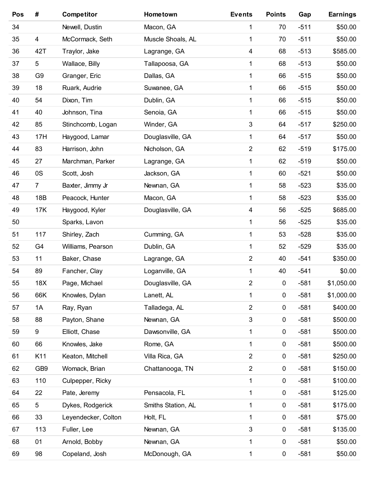| Pos | #               | <b>Competitor</b>   | Hometown           | <b>Events</b>  | <b>Points</b> | Gap    | <b>Earnings</b> |
|-----|-----------------|---------------------|--------------------|----------------|---------------|--------|-----------------|
| 34  |                 | Newell, Dustin      | Macon, GA          | 1              | 70            | $-511$ | \$50.00         |
| 35  | 4               | McCormack, Seth     | Muscle Shoals, AL  | 1              | 70            | $-511$ | \$50.00         |
| 36  | 42T             | Traylor, Jake       | Lagrange, GA       | $\overline{4}$ | 68            | $-513$ | \$585.00        |
| 37  | 5               | Wallace, Billy      | Tallapoosa, GA     | 1              | 68            | $-513$ | \$50.00         |
| 38  | G <sub>9</sub>  | Granger, Eric       | Dallas, GA         | 1              | 66            | $-515$ | \$50.00         |
| 39  | 18              | Ruark, Audrie       | Suwanee, GA        | 1              | 66            | $-515$ | \$50.00         |
| 40  | 54              | Dixon, Tim          | Dublin, GA         | 1              | 66            | $-515$ | \$50.00         |
| 41  | 40              | Johnson, Tina       | Senoia, GA         | 1              | 66            | $-515$ | \$50.00         |
| 42  | 85              | Stinchcomb, Logan   | Winder, GA         | $\mathfrak{B}$ | 64            | $-517$ | \$250.00        |
| 43  | 17H             | Haygood, Lamar      | Douglasville, GA   | 1              | 64            | $-517$ | \$50.00         |
| 44  | 83              | Harrison, John      | Nicholson, GA      | $\overline{2}$ | 62            | $-519$ | \$175.00        |
| 45  | 27              | Marchman, Parker    | Lagrange, GA       | $\mathbf{1}$   | 62            | $-519$ | \$50.00         |
| 46  | 0S              | Scott, Josh         | Jackson, GA        | 1              | 60            | $-521$ | \$50.00         |
| 47  | $\overline{7}$  | Baxter, Jimmy Jr    | Newnan, GA         | 1              | 58            | $-523$ | \$35.00         |
| 48  | 18B             | Peacock, Hunter     | Macon, GA          | $\mathbf 1$    | 58            | $-523$ | \$35.00         |
| 49  | 17K             | Haygood, Kyler      | Douglasville, GA   | $\overline{4}$ | 56            | $-525$ | \$685.00        |
| 50  |                 | Sparks, Lavon       |                    | 1              | 56            | $-525$ | \$35.00         |
| 51  | 117             | Shirley, Zach       | Cumming, GA        | 1              | 53            | $-528$ | \$35.00         |
| 52  | G4              | Williams, Pearson   | Dublin, GA         | 1              | 52            | $-529$ | \$35.00         |
| 53  | 11              | Baker, Chase        | Lagrange, GA       | $\overline{2}$ | 40            | $-541$ | \$350.00        |
| 54  | 89              | Fancher, Clay       | Loganville, GA     | 1              | 40            | $-541$ | \$0.00          |
| 55  | 18X             | Page, Michael       | Douglasville, GA   | $\overline{2}$ | $\pmb{0}$     | $-581$ | \$1,050.00      |
| 56  | 66K             | Knowles, Dylan      | Lanett, AL         | 1              | $\pmb{0}$     | $-581$ | \$1,000.00      |
| 57  | 1A              | Ray, Ryan           | Talladega, AL      | $\overline{c}$ | 0             | $-581$ | \$400.00        |
| 58  | 88              | Payton, Shane       | Newnan, GA         | $\sqrt{3}$     | 0             | $-581$ | \$500.00        |
| 59  | 9               | Elliott, Chase      | Dawsonville, GA    | 1              | 0             | $-581$ | \$500.00        |
| 60  | 66              | Knowles, Jake       | Rome, GA           | 1              | 0             | $-581$ | \$500.00        |
| 61  | K11             | Keaton, Mitchell    | Villa Rica, GA     | $\overline{2}$ | 0             | $-581$ | \$250.00        |
| 62  | GB <sub>9</sub> | Womack, Brian       | Chattanooga, TN    | $\overline{2}$ | 0             | $-581$ | \$150.00        |
| 63  | 110             | Culpepper, Ricky    |                    | 1              | 0             | $-581$ | \$100.00        |
| 64  | 22              | Pate, Jeremy        | Pensacola, FL      | 1              | $\pmb{0}$     | $-581$ | \$125.00        |
| 65  | 5               | Dykes, Rodgerick    | Smiths Station, AL | 1              | 0             | $-581$ | \$175.00        |
| 66  | 33              | Leyendecker, Colton | Holt, FL           | 1              | 0             | $-581$ | \$75.00         |
| 67  | 113             | Fuller, Lee         | Newnan, GA         | 3              | 0             | $-581$ | \$135.00        |
| 68  | 01              | Arnold, Bobby       | Newnan, GA         | 1              | 0             | $-581$ | \$50.00         |
| 69  | 98              | Copeland, Josh      | McDonough, GA      | 1              | 0             | $-581$ | \$50.00         |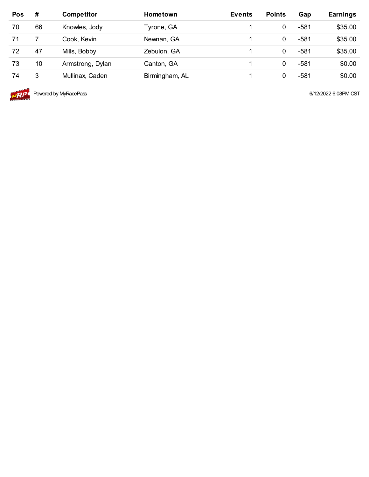| <b>Pos</b> | #  | <b>Competitor</b> | <b>Hometown</b> | <b>Events</b> | <b>Points</b> | Gap  | <b>Earnings</b> |
|------------|----|-------------------|-----------------|---------------|---------------|------|-----------------|
| 70         | 66 | Knowles, Jody     | Tyrone, GA      |               |               | -581 | \$35.00         |
| 71         |    | Cook, Kevin       | Newnan, GA      |               |               | -581 | \$35.00         |
| 72         | 47 | Mills, Bobby      | Zebulon, GA     |               | 0             | -581 | \$35.00         |
| 73         | 10 | Armstrong, Dylan  | Canton, GA      |               | 0             | -581 | \$0.00          |
| 74         | 3  | Mullinax, Caden   | Birmingham, AL  |               |               | -581 | \$0.00          |



**MRIPL** Powered by MyRacePass **6/12/2022** 6:08PM CST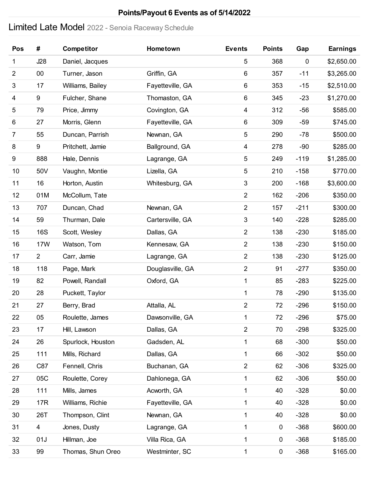# Limited Late Model 2022 - Senoia Raceway Schedule

| Pos            | #              | <b>Competitor</b> | Hometown         | <b>Events</b>    | <b>Points</b> | Gap       | <b>Earnings</b> |
|----------------|----------------|-------------------|------------------|------------------|---------------|-----------|-----------------|
| 1              | J28            | Daniel, Jacques   |                  | $\overline{5}$   | 368           | $\pmb{0}$ | \$2,650.00      |
| $\overline{2}$ | 00             | Turner, Jason     | Griffin, GA      | 6                | 357           | $-11$     | \$3,265.00      |
| 3              | 17             | Williams, Bailey  | Fayetteville, GA | 6                | 353           | $-15$     | \$2,510.00      |
| 4              | 9              | Fulcher, Shane    | Thomaston, GA    | 6                | 345           | $-23$     | \$1,270.00      |
| 5              | 79             | Price, Jimmy      | Covington, GA    | 4                | 312           | $-56$     | \$585.00        |
| 6              | 27             | Morris, Glenn     | Fayetteville, GA | $\,6$            | 309           | $-59$     | \$745.00        |
| $\overline{7}$ | 55             | Duncan, Parrish   | Newnan, GA       | $\mathbf 5$      | 290           | $-78$     | \$500.00        |
| 8              | 9              | Pritchett, Jamie  | Ballground, GA   | 4                | 278           | $-90$     | \$285.00        |
| 9              | 888            | Hale, Dennis      | Lagrange, GA     | $\overline{5}$   | 249           | $-119$    | \$1,285.00      |
| 10             | 50V            | Vaughn, Montie    | Lizella, GA      | $\mathbf 5$      | 210           | $-158$    | \$770.00        |
| 11             | 16             | Horton, Austin    | Whitesburg, GA   | $\sqrt{3}$       | 200           | $-168$    | \$3,600.00      |
| 12             | 01M            | McCollum, Tate    |                  | $\overline{2}$   | 162           | $-206$    | \$350.00        |
| 13             | 707            | Duncan, Chad      | Newnan, GA       | $\overline{2}$   | 157           | $-211$    | \$300.00        |
| 14             | 59             | Thurman, Dale     | Cartersville, GA | $\sqrt{3}$       | 140           | $-228$    | \$285.00        |
| 15             | <b>16S</b>     | Scott, Wesley     | Dallas, GA       | $\overline{2}$   | 138           | $-230$    | \$185.00        |
| 16             | 17W            | Watson, Tom       | Kennesaw, GA     | $\overline{2}$   | 138           | $-230$    | \$150.00        |
| 17             | $\overline{2}$ | Carr, Jamie       | Lagrange, GA     | $\mathbf 2$      | 138           | $-230$    | \$125.00        |
| 18             | 118            | Page, Mark        | Douglasville, GA | $\overline{2}$   | 91            | $-277$    | \$350.00        |
| 19             | 82             | Powell, Randall   | Oxford, GA       | $\mathbf 1$      | 85            | $-283$    | \$225.00        |
| 20             | 28             | Puckett, Taylor   |                  | $\mathbf 1$      | 78            | $-290$    | \$135.00        |
| 21             | 27             | Berry, Brad       | Attalla, AL      | $\overline{2}$   | 72            | $-296$    | \$150.00        |
| 22             | 05             | Roulette, James   | Dawsonville, GA  | 1                | 72            | $-296$    | \$75.00         |
| 23             | 17             | Hill, Lawson      | Dallas, GA       | $\overline{2}$   | 70            | $-298$    | \$325.00        |
| 24             | 26             | Spurlock, Houston | Gadsden, AL      | $\mathbf 1$      | 68            | $-300$    | \$50.00         |
| 25             | 111            | Mills, Richard    | Dallas, GA       | 1                | 66            | $-302$    | \$50.00         |
| 26             | C87            | Fennell, Chris    | Buchanan, GA     | $\boldsymbol{2}$ | 62            | $-306$    | \$325.00        |
| 27             | 05C            | Roulette, Corey   | Dahlonega, GA    | 1                | 62            | $-306$    | \$50.00         |
| 28             | 111            | Mills, James      | Acworth, GA      | 1                | 40            | $-328$    | \$0.00          |
| 29             | 17R            | Williams, Richie  | Fayetteville, GA | 1                | 40            | $-328$    | \$0.00          |
| 30             | 26T            | Thompson, Clint   | Newnan, GA       | 1                | 40            | $-328$    | \$0.00          |
| 31             | $\overline{4}$ | Jones, Dusty      | Lagrange, GA     | 1                | 0             | $-368$    | \$600.00        |
| 32             | 01J            | Hillman, Joe      | Villa Rica, GA   | 1                | $\pmb{0}$     | $-368$    | \$185.00        |
| 33             | 99             | Thomas, Shun Oreo | Westminter, SC   | 1                | $\pmb{0}$     | $-368$    | \$165.00        |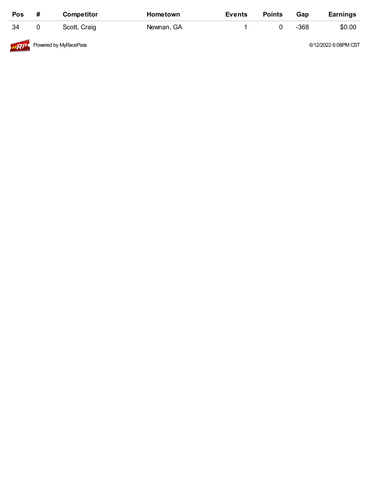| Pos        | # | <b>Competitor</b>     | <b>Hometown</b> | Events | <b>Points</b> | Gap  | <b>Earnings</b>      |
|------------|---|-----------------------|-----------------|--------|---------------|------|----------------------|
| 34         |   | Scott, Craig          | Newnan, GA      |        |               | -368 | \$0.00               |
| <b>MRP</b> |   | Powered by MyRacePass |                 |        |               |      | 6/12/2022 6:08PM CST |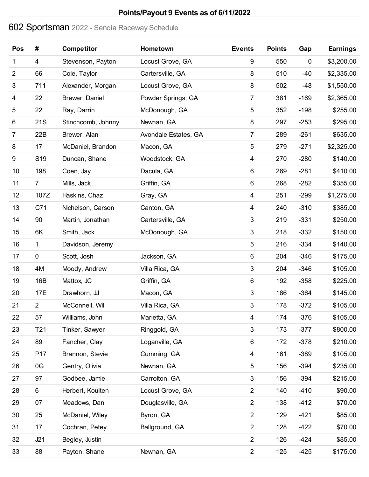# Sportsman 2022 - Senoia Raceway Schedule

| Pos            | #               | Competitor         | Hometown             | <b>Events</b>           | <b>Points</b> | Gap         | <b>Earnings</b> |
|----------------|-----------------|--------------------|----------------------|-------------------------|---------------|-------------|-----------------|
| 1              | 4               | Stevenson, Payton  | Locust Grove, GA     | 9                       | 550           | $\mathbf 0$ | \$3,200.00      |
| $\overline{2}$ | 66              | Cole, Taylor       | Cartersville, GA     | 8                       | 510           | $-40$       | \$2,335.00      |
| $\sqrt{3}$     | 711             | Alexander, Morgan  | Locust Grove, GA     | 8                       | 502           | $-48$       | \$1,550.00      |
| 4              | 22              | Brewer, Daniel     | Powder Springs, GA   | $\overline{7}$          | 381           | $-169$      | \$2,365.00      |
| 5              | 22              | Ray, Darrin        | McDonough, GA        | $\sqrt{5}$              | 352           | $-198$      | \$255.00        |
| 6              | 21S             | Stinchcomb, Johnny | Newnan, GA           | $\bf 8$                 | 297           | $-253$      | \$295.00        |
| $\overline{7}$ | 22B             | Brewer, Alan       | Avondale Estates, GA | $\overline{7}$          | 289           | $-261$      | \$635.00        |
| 8              | 17              | McDaniel, Brandon  | Macon, GA            | $\sqrt{5}$              | 279           | $-271$      | \$2,325.00      |
| 9              | S <sub>19</sub> | Duncan, Shane      | Woodstock, GA        | 4                       | 270           | $-280$      | \$140.00        |
| 10             | 198             | Coen, Jay          | Dacula, GA           | 6                       | 269           | $-281$      | \$410.00        |
| 11             | $\overline{7}$  | Mills, Jack        | Griffin, GA          | 6                       | 268           | $-282$      | \$355.00        |
| 12             | 107Z            | Haskins, Chaz      | Gray, GA             | $\overline{\mathbf{4}}$ | 251           | $-299$      | \$1,275.00      |
| 13             | C71             | Nichelson, Carson  | Canton, GA           | 4                       | 240           | $-310$      | \$385.00        |
| 14             | 90              | Martin, Jonathan   | Cartersville, GA     | $\sqrt{3}$              | 219           | $-331$      | \$250.00        |
| 15             | 6K              | Smith, Jack        | McDonough, GA        | $\sqrt{3}$              | 218           | $-332$      | \$150.00        |
| 16             | 1               | Davidson, Jeremy   |                      | 5                       | 216           | $-334$      | \$140.00        |
| 17             | $\mathbf 0$     | Scott, Josh        | Jackson, GA          | $\,6\,$                 | 204           | $-346$      | \$175.00        |
| 18             | 4M              | Moody, Andrew      | Villa Rica, GA       | $\sqrt{3}$              | 204           | $-346$      | \$105.00        |
| 19             | 16B             | Mattox, JC         | Griffin, GA          | 6                       | 192           | $-358$      | \$225.00        |
| 20             | 17E             | Drawhorn, JJ       | Macon, GA            | $\sqrt{3}$              | 186           | $-364$      | \$145.00        |
| 21             | $\overline{2}$  | McConnell, Will    | Villa Rica, GA       | 3                       | 178           | $-372$      | \$105.00        |
| 22             | 57              | Williams, John     | Marietta, GA         | $\overline{\mathbf{4}}$ | 174           | $-376$      | \$105.00        |
| 23             | T <sub>21</sub> | Tinker, Sawyer     | Ringgold, GA         | $\sqrt{3}$              | 173           | $-377$      | \$800.00        |
| 24             | 89              | Fancher, Clay      | Loganville, GA       | 6                       | 172           | $-378$      | \$210.00        |
| 25             | P17             | Brannon, Stevie    | Cumming, GA          | 4                       | 161           | $-389$      | \$105.00        |
| 26             | 0G              | Gentry, Olivia     | Newnan, GA           | $\sqrt{5}$              | 156           | $-394$      | \$235.00        |
| 27             | 97              | Godbee, Jamie      | Carrolton, GA        | $\sqrt{3}$              | 156           | $-394$      | \$215.00        |
| 28             | 6               | Herbert, Koulten   | Locust Grove, GA     | $\overline{2}$          | 140           | $-410$      | \$90.00         |
| 29             | 07              | Meadows, Dan       | Douglasville, GA     | $\overline{c}$          | 138           | $-412$      | \$70.00         |
| 30             | 25              | McDaniel, Wiley    | Byron, GA            | $\overline{2}$          | 129           | $-421$      | \$85.00         |
| 31             | 17              | Cochran, Petey     | Ballground, GA       | $\overline{2}$          | 128           | $-422$      | \$70.00         |
| 32             | J21             | Begley, Justin     |                      | $\overline{2}$          | 126           | $-424$      | \$85.00         |
| 33             | 88              | Payton, Shane      | Newnan, GA           | $\overline{2}$          | 125           | $-425$      | \$175.00        |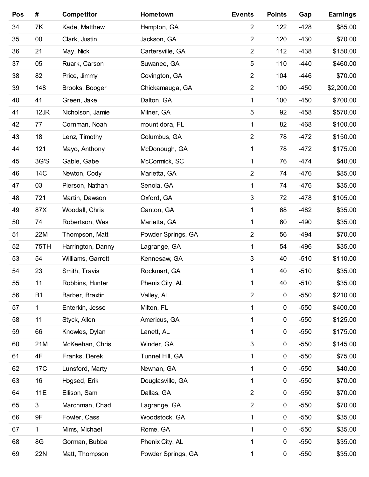| Pos | #              | <b>Competitor</b> | Hometown           | <b>Events</b>  | <b>Points</b>    | Gap    | <b>Earnings</b> |
|-----|----------------|-------------------|--------------------|----------------|------------------|--------|-----------------|
| 34  | 7K             | Kade, Matthew     | Hampton, GA        | $\overline{2}$ | 122              | $-428$ | \$85.00         |
| 35  | $00\,$         | Clark, Justin     | Jackson, GA        | $\overline{2}$ | 120              | $-430$ | \$70.00         |
| 36  | 21             | May, Nick         | Cartersville, GA   | $\overline{2}$ | 112              | $-438$ | \$150.00        |
| 37  | 05             | Ruark, Carson     | Suwanee, GA        | 5              | 110              | $-440$ | \$460.00        |
| 38  | 82             | Price, Jimmy      | Covington, GA      | $\overline{2}$ | 104              | $-446$ | \$70.00         |
| 39  | 148            | Brooks, Booger    | Chickamauga, GA    | $\overline{2}$ | 100              | $-450$ | \$2,200.00      |
| 40  | 41             | Green, Jake       | Dalton, GA         | 1              | 100              | $-450$ | \$700.00        |
| 41  | 12JR           | Nicholson, Jamie  | Milner, GA         | 5              | 92               | $-458$ | \$570.00        |
| 42  | 77             | Cornman, Noah     | mount dora, FL     | 1              | 82               | $-468$ | \$100.00        |
| 43  | 18             | Lenz, Timothy     | Columbus, GA       | $\overline{2}$ | 78               | $-472$ | \$150.00        |
| 44  | 121            | Mayo, Anthony     | McDonough, GA      | 1              | 78               | $-472$ | \$175.00        |
| 45  | 3G'S           | Gable, Gabe       | McCormick, SC      | 1              | 76               | $-474$ | \$40.00         |
| 46  | 14C            | Newton, Cody      | Marietta, GA       | $\overline{2}$ | 74               | $-476$ | \$85.00         |
| 47  | 03             | Pierson, Nathan   | Senoia, GA         | 1              | 74               | $-476$ | \$35.00         |
| 48  | 721            | Martin, Dawson    | Oxford, GA         | $\mathfrak{S}$ | 72               | $-478$ | \$105.00        |
| 49  | 87X            | Woodall, Chris    | Canton, GA         | 1              | 68               | $-482$ | \$35.00         |
| 50  | 74             | Robertson, Wes    | Marietta, GA       | 1              | 60               | $-490$ | \$35.00         |
| 51  | 22M            | Thompson, Matt    | Powder Springs, GA | $\overline{2}$ | 56               | $-494$ | \$70.00         |
| 52  | 75TH           | Harrington, Danny | Lagrange, GA       | 1              | 54               | $-496$ | \$35.00         |
| 53  | 54             | Williams, Garrett | Kennesaw, GA       | 3              | 40               | $-510$ | \$110.00        |
| 54  | 23             | Smith, Travis     | Rockmart, GA       | 1              | 40               | $-510$ | \$35.00         |
| 55  | 11             | Robbins, Hunter   | Phenix City, AL    | 1              | 40               | $-510$ | \$35.00         |
| 56  | B <sub>1</sub> | Barber, Braxtin   | Valley, AL         | $\overline{2}$ | $\pmb{0}$        | $-550$ | \$210.00        |
| 57  | 1.             | Enterkin, Jesse   | Milton, FL         | 1              | $\pmb{0}$        | $-550$ | \$400.00        |
| 58  | 11             | Styck, Allen      | Americus, GA       | 1              | $\pmb{0}$        | $-550$ | \$125.00        |
| 59  | 66             | Knowles, Dylan    | Lanett, AL         | 1              | $\pmb{0}$        | $-550$ | \$175.00        |
| 60  | 21M            | McKeehan, Chris   | Winder, GA         | 3              | $\pmb{0}$        | $-550$ | \$145.00        |
| 61  | 4F             | Franks, Derek     | Tunnel Hill, GA    | 1              | $\pmb{0}$        | $-550$ | \$75.00         |
| 62  | 17C            | Lunsford, Marty   | Newnan, GA         | 1              | $\pmb{0}$        | $-550$ | \$40.00         |
| 63  | 16             | Hogsed, Erik      | Douglasville, GA   | 1              | $\pmb{0}$        | $-550$ | \$70.00         |
| 64  | 11E            | Ellison, Sam      | Dallas, GA         | $\overline{2}$ | $\pmb{0}$        | $-550$ | \$70.00         |
| 65  | 3              | Marchman, Chad    | Lagrange, GA       | $\overline{2}$ | $\pmb{0}$        | $-550$ | \$70.00         |
| 66  | 9F             | Fowler, Cass      | Woodstock, GA      | 1              | $\pmb{0}$        | $-550$ | \$35.00         |
| 67  | 1              | Mims, Michael     | Rome, GA           | 1              | $\pmb{0}$        | $-550$ | \$35.00         |
| 68  | 8G             | Gorman, Bubba     | Phenix City, AL    | 1              | $\boldsymbol{0}$ | $-550$ | \$35.00         |
| 69  | 22N            | Matt, Thompson    | Powder Springs, GA | 1              | $\pmb{0}$        | $-550$ | \$35.00         |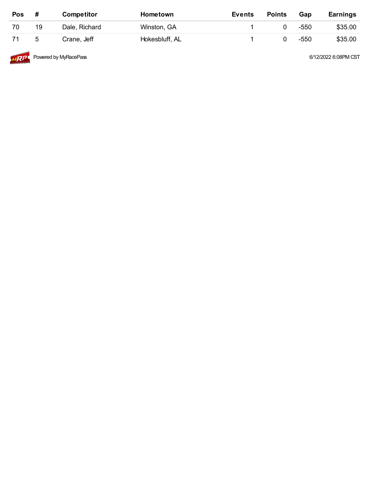| Pos | #  | <b>Competitor</b> | Hometown       | <b>Events</b> | <b>Points</b> | Gap  | <b>Earnings</b> |
|-----|----|-------------------|----------------|---------------|---------------|------|-----------------|
| 70  | 19 | Dale, Richard     | Winston, GA    |               |               | -550 | \$35.00         |
| 71  | 5  | Crane, Jeff       | Hokesbluff, AL |               |               | -550 | \$35.00         |
|     |    |                   |                |               |               |      |                 |



**MRP** Powered by MyRacePass **6/12/2022** 6:08PM CST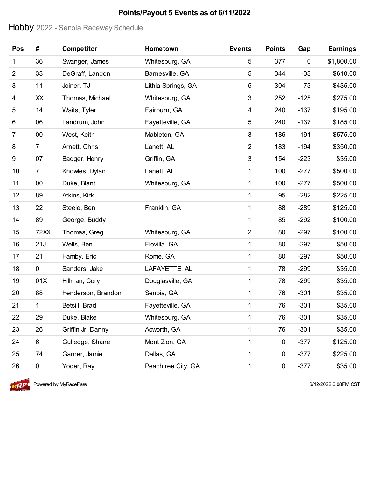### Hobby 2022 - Senoia Raceway Schedule

| Pos            | #              | <b>Competitor</b>  | Hometown           | <b>Events</b>  | <b>Points</b> | Gap       | <b>Earnings</b> |
|----------------|----------------|--------------------|--------------------|----------------|---------------|-----------|-----------------|
| 1              | 36             | Swanger, James     | Whitesburg, GA     | 5              | 377           | $\pmb{0}$ | \$1,800.00      |
| $\overline{2}$ | 33             | DeGraff, Landon    | Barnesville, GA    | 5              | 344           | $-33$     | \$610.00        |
| 3              | 11             | Joiner, TJ         | Lithia Springs, GA | 5              | 304           | $-73$     | \$435.00        |
| 4              | XX             | Thomas, Michael    | Whitesburg, GA     | 3              | 252           | $-125$    | \$275.00        |
| 5              | 14             | Waits, Tyler       | Fairburn, GA       | 4              | 240           | $-137$    | \$195.00        |
| 6              | 06             | Landrum, John      | Fayetteville, GA   | 5              | 240           | $-137$    | \$185.00        |
| 7              | 00             | West, Keith        | Mableton, GA       | 3              | 186           | $-191$    | \$575.00        |
| 8              | $\overline{7}$ | Arnett, Chris      | Lanett, AL         | $\overline{2}$ | 183           | $-194$    | \$350.00        |
| 9              | 07             | Badger, Henry      | Griffin, GA        | 3              | 154           | $-223$    | \$35.00         |
| 10             | $\overline{7}$ | Knowles, Dylan     | Lanett, AL         | 1              | 100           | $-277$    | \$500.00        |
| 11             | 00             | Duke, Blant        | Whitesburg, GA     | 1              | 100           | $-277$    | \$500.00        |
| 12             | 89             | Atkins, Kirk       |                    | 1              | 95            | $-282$    | \$225.00        |
| 13             | 22             | Steele, Ben        | Franklin, GA       | 1              | 88            | $-289$    | \$125.00        |
| 14             | 89             | George, Buddy      |                    | 1              | 85            | $-292$    | \$100.00        |
| 15             | 72XX           | Thomas, Greg       | Whitesburg, GA     | $\overline{2}$ | 80            | $-297$    | \$100.00        |
| 16             | 21J            | Wells, Ben         | Flovilla, GA       | 1              | 80            | $-297$    | \$50.00         |
| 17             | 21             | Hamby, Eric        | Rome, GA           | 1              | 80            | $-297$    | \$50.00         |
| 18             | 0              | Sanders, Jake      | LAFAYETTE, AL      | 1              | 78            | $-299$    | \$35.00         |
| 19             | 01X            | Hillman, Cory      | Douglasville, GA   | 1              | 78            | $-299$    | \$35.00         |
| 20             | 88             | Henderson, Brandon | Senoia, GA         | 1              | 76            | $-301$    | \$35.00         |
| 21             | 1              | Betsill, Brad      | Fayetteville, GA   | 1              | 76            | $-301$    | \$35.00         |
| 22             | 29             | Duke, Blake        | Whitesburg, GA     | 1              | 76            | $-301$    | \$35.00         |
| 23             | 26             | Griffin Jr, Danny  | Acworth, GA        | 1              | 76            | $-301$    | \$35.00         |
| 24             | 6              | Gulledge, Shane    | Mont Zion, GA      | 1              | $\pmb{0}$     | $-377$    | \$125.00        |
| 25             | 74             | Garner, Jamie      | Dallas, GA         | 1              | 0             | $-377$    | \$225.00        |
| 26             | $\pmb{0}$      | Yoder, Ray         | Peachtree City, GA | 1              | $\pmb{0}$     | $-377$    | \$35.00         |



 $\overline{MP}$  Powered by MyRacePass **6/12/2022** 6:08PM CST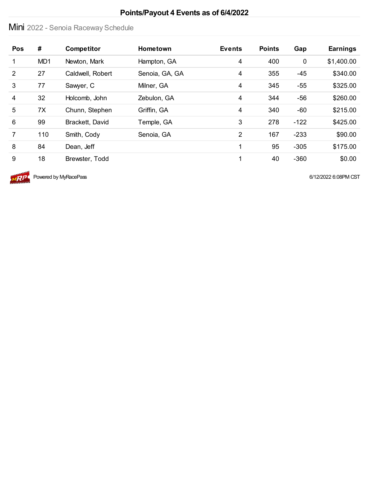# Mini 2022 - Senoia Raceway Schedule

| Pos            | #   | <b>Competitor</b> | <b>Hometown</b> | <b>Events</b>  | <b>Points</b> | Gap         | <b>Earnings</b> |
|----------------|-----|-------------------|-----------------|----------------|---------------|-------------|-----------------|
| 1              | MD1 | Newton, Mark      | Hampton, GA     | $\overline{4}$ | 400           | $\mathbf 0$ | \$1,400.00      |
| $\overline{2}$ | 27  | Caldwell, Robert  | Senoia, GA, GA  | $\overline{4}$ | 355           | $-45$       | \$340.00        |
| 3              | 77  | Sawyer, C         | Milner, GA      | 4              | 345           | $-55$       | \$325.00        |
| 4              | 32  | Holcomb, John     | Zebulon, GA     | 4              | 344           | $-56$       | \$260.00        |
| 5              | 7X  | Chunn, Stephen    | Griffin, GA     | $\overline{4}$ | 340           | $-60$       | \$215.00        |
| 6              | 99  | Brackett, David   | Temple, GA      | 3              | 278           | $-122$      | \$425.00        |
| $\overline{7}$ | 110 | Smith, Cody       | Senoia, GA      | 2              | 167           | $-233$      | \$90.00         |
| 8              | 84  | Dean, Jeff        |                 |                | 95            | $-305$      | \$175.00        |
| 9              | 18  | Brewster, Todd    |                 |                | 40            | $-360$      | \$0.00          |



 $\overline{MP}$  Powered by MyRacePass **6/12/2022** 6:08PM CST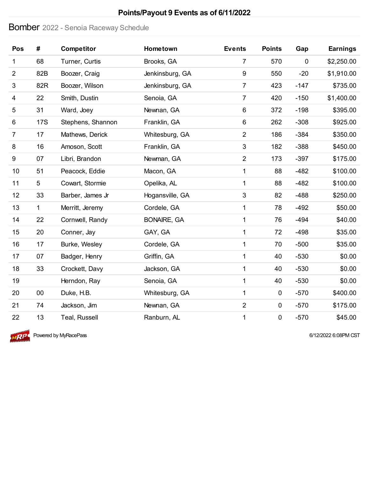### Bomber 2022 - Senoia Raceway Schedule

| Pos            | #            | <b>Competitor</b> | Hometown           | <b>Events</b>    | <b>Points</b> | Gap    | <b>Earnings</b> |
|----------------|--------------|-------------------|--------------------|------------------|---------------|--------|-----------------|
| 1              | 68           | Turner, Curtis    | Brooks, GA         | $\overline{7}$   | 570           | 0      | \$2,250.00      |
| $\overline{2}$ | 82B          | Boozer, Craig     | Jenkinsburg, GA    | $\boldsymbol{9}$ | 550           | $-20$  | \$1,910.00      |
| 3              | 82R          | Boozer, Wilson    | Jenkinsburg, GA    | $\overline{7}$   | 423           | $-147$ | \$735.00        |
| 4              | 22           | Smith, Dustin     | Senoia, GA         | $\overline{7}$   | 420           | $-150$ | \$1,400.00      |
| 5              | 31           | Ward, Joey        | Newnan, GA         | $6\,$            | 372           | $-198$ | \$395.00        |
| 6              | <b>17S</b>   | Stephens, Shannon | Franklin, GA       | $\,6\,$          | 262           | $-308$ | \$925.00        |
| $\overline{7}$ | 17           | Mathews, Derick   | Whitesburg, GA     | $\overline{2}$   | 186           | $-384$ | \$350.00        |
| 8              | 16           | Amoson, Scott     | Franklin, GA       | $\mathfrak{B}$   | 182           | $-388$ | \$450.00        |
| 9              | 07           | Libri, Brandon    | Newman, GA         | $\overline{2}$   | 173           | $-397$ | \$175.00        |
| 10             | 51           | Peacock, Eddie    | Macon, GA          | 1                | 88            | $-482$ | \$100.00        |
| 11             | 5            | Cowart, Stormie   | Opelika, AL        | 1                | 88            | $-482$ | \$100.00        |
| 12             | 33           | Barber, James Jr  | Hogansville, GA    | $\sqrt{3}$       | 82            | $-488$ | \$250.00        |
| 13             | $\mathbf{1}$ | Merritt, Jeremy   | Cordele, GA        | 1                | 78            | $-492$ | \$50.00         |
| 14             | 22           | Cornwell, Randy   | <b>BONAIRE, GA</b> | 1                | 76            | $-494$ | \$40.00         |
| 15             | 20           | Conner, Jay       | GAY, GA            | 1                | 72            | $-498$ | \$35.00         |
| 16             | 17           | Burke, Wesley     | Cordele, GA        | $\mathbf{1}$     | 70            | $-500$ | \$35.00         |
| 17             | 07           | Badger, Henry     | Griffin, GA        | 1                | 40            | $-530$ | \$0.00          |
| 18             | 33           | Crockett, Davy    | Jackson, GA        | 1                | 40            | $-530$ | \$0.00          |
| 19             |              | Herndon, Ray      | Senoia, GA         | 1                | 40            | $-530$ | \$0.00          |
| 20             | 00           | Duke, H.B.        | Whitesburg, GA     | $\mathbf{1}$     | $\mathbf 0$   | $-570$ | \$400.00        |
| 21             | 74           | Jackson, Jim      | Newnan, GA         | $\overline{2}$   | $\mathbf 0$   | $-570$ | \$175.00        |
| 22             | 13           | Teal, Russell     | Ranburn, AL        | 1                | $\pmb{0}$     | $-570$ | \$45.00         |



 $\sqrt{RP}$  Powered by MyRacePass 6/12/2022 6:08PM CST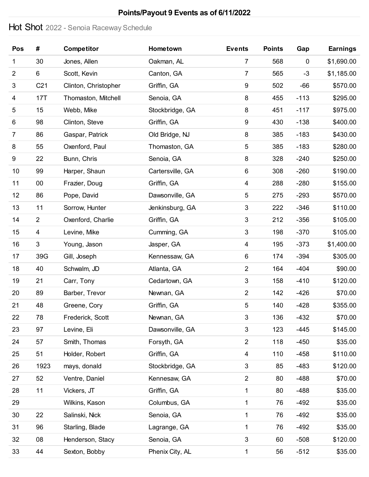### Hot Shot 2022 - Senoia Raceway Schedule

| Pos            | #               | <b>Competitor</b>    | Hometown         | <b>Events</b>    | <b>Points</b> | Gap    | <b>Earnings</b> |
|----------------|-----------------|----------------------|------------------|------------------|---------------|--------|-----------------|
| 1              | 30              | Jones, Allen         | Oakman, AL       | $\overline{7}$   | 568           | 0      | \$1,690.00      |
| $\overline{2}$ | 6               | Scott, Kevin         | Canton, GA       | $\overline{7}$   | 565           | $-3$   | \$1,185.00      |
| 3              | C <sub>21</sub> | Clinton, Christopher | Griffin, GA      | 9                | 502           | -66    | \$570.00        |
| 4              | 17T             | Thomaston, Mitchell  | Senoia, GA       | 8                | 455           | $-113$ | \$295.00        |
| 5              | 15              | Webb, Mike           | Stockbridge, GA  | 8                | 451           | $-117$ | \$975.00        |
| 6              | 98              | Clinton, Steve       | Griffin, GA      | $\boldsymbol{9}$ | 430           | $-138$ | \$400.00        |
| $\overline{7}$ | 86              | Gaspar, Patrick      | Old Bridge, NJ   | 8                | 385           | $-183$ | \$430.00        |
| 8              | 55              | Oxenford, Paul       | Thomaston, GA    | $\sqrt{5}$       | 385           | $-183$ | \$280.00        |
| 9              | 22              | Bunn, Chris          | Senoia, GA       | 8                | 328           | $-240$ | \$250.00        |
| 10             | 99              | Harper, Shaun        | Cartersville, GA | 6                | 308           | $-260$ | \$190.00        |
| 11             | 00              | Frazier, Doug        | Griffin, GA      | 4                | 288           | $-280$ | \$155.00        |
| 12             | 86              | Pope, David          | Dawsonville, GA  | $\mathbf 5$      | 275           | $-293$ | \$570.00        |
| 13             | 11              | Sorrow, Hunter       | Jenkinsburg, GA  | $\sqrt{3}$       | 222           | $-346$ | \$110.00        |
| 14             | $\overline{2}$  | Oxenford, Charlie    | Griffin, GA      | $\sqrt{3}$       | 212           | $-356$ | \$105.00        |
| 15             | 4               | Levine, Mike         | Cumming, GA      | $\mathbf{3}$     | 198           | $-370$ | \$105.00        |
| 16             | $\mathfrak{S}$  | Young, Jason         | Jasper, GA       | 4                | 195           | $-373$ | \$1,400.00      |
| 17             | 39G             | Gill, Joseph         | Kennessaw, GA    | 6                | 174           | $-394$ | \$305.00        |
| 18             | 40              | Schwalm, JD          | Atlanta, GA      | $\overline{2}$   | 164           | $-404$ | \$90.00         |
| 19             | 21              | Carr, Tony           | Cedartown, GA    | $\sqrt{3}$       | 158           | $-410$ | \$120.00        |
| 20             | 89              | Barber, Trevor       | Newnan, GA       | $\overline{2}$   | 142           | $-426$ | \$70.00         |
| 21             | 48              | Greene, Cory         | Griffin, GA      | 5                | 140           | $-428$ | \$355.00        |
| 22             | 78              | Frederick, Scott     | Newnan, GA       | $\sqrt{3}$       | 136           | $-432$ | \$70.00         |
| 23             | 97              | Levine, Eli          | Dawsonville, GA  | $\sqrt{3}$       | 123           | $-445$ | \$145.00        |
| 24             | 57              | Smith, Thomas        | Forsyth, GA      | $\overline{c}$   | 118           | $-450$ | \$35.00         |
| 25             | 51              | Holder, Robert       | Griffin, GA      | 4                | 110           | $-458$ | \$110.00        |
| 26             | 1923            | mays, donald         | Stockbridge, GA  | $\sqrt{3}$       | 85            | $-483$ | \$120.00        |
| 27             | 52              | Ventre, Daniel       | Kennesaw, GA     | $\overline{2}$   | 80            | $-488$ | \$70.00         |
| 28             | 11              | Vickers, JT          | Griffin, GA      | 1                | 80            | $-488$ | \$35.00         |
| 29             |                 | Wilkins, Kason       | Columbus, GA     | 1                | 76            | $-492$ | \$35.00         |
| 30             | 22              | Salinski, Nick       | Senoia, GA       | $\mathbf 1$      | 76            | $-492$ | \$35.00         |
| 31             | 96              | Starling, Blade      | Lagrange, GA     | 1                | 76            | $-492$ | \$35.00         |
| 32             | 08              | Henderson, Stacy     | Senoia, GA       | $\sqrt{3}$       | 60            | $-508$ | \$120.00        |
| 33             | 44              | Sexton, Bobby        | Phenix City, AL  | 1                | 56            | $-512$ | \$35.00         |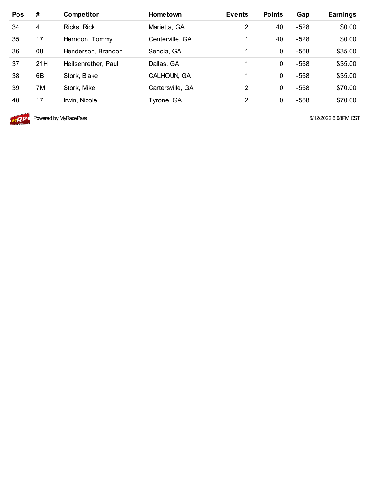| <b>Pos</b> | #   | <b>Competitor</b>   | <b>Hometown</b>  | <b>Events</b>  | <b>Points</b> | Gap    | <b>Earnings</b> |
|------------|-----|---------------------|------------------|----------------|---------------|--------|-----------------|
| 34         | 4   | Ricks, Rick         | Marietta, GA     | $\overline{2}$ | 40            | $-528$ | \$0.00          |
| 35         | 17  | Herndon, Tommy      | Centerville, GA  |                | 40            | $-528$ | \$0.00          |
| 36         | 08  | Henderson, Brandon  | Senoia, GA       |                | 0             | $-568$ | \$35.00         |
| 37         | 21H | Heitsenrether, Paul | Dallas, GA       |                | 0             | $-568$ | \$35.00         |
| 38         | 6B  | Stork, Blake        | CALHOUN, GA      |                | 0             | $-568$ | \$35.00         |
| 39         | 7M  | Stork, Mike         | Cartersville, GA | 2              | 0             | $-568$ | \$70.00         |
| 40         | 17  | Irwin, Nicole       | Tyrone, GA       | 2              | 0             | $-568$ | \$70.00         |



**MRP** Powered by MyRacePass **6/12/2022** 6:08PM CST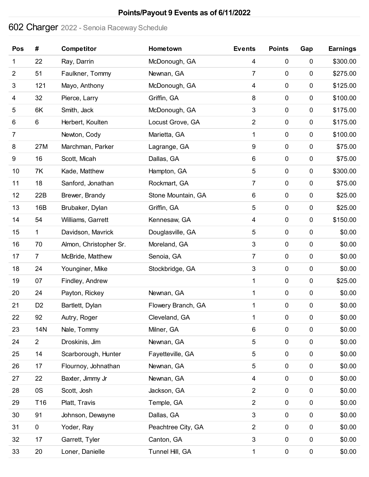# Charger 2022 - Senoia Raceway Schedule

| Pos              | #               | <b>Competitor</b>      | Hometown           | <b>Events</b>           | <b>Points</b> | Gap         | <b>Earnings</b> |
|------------------|-----------------|------------------------|--------------------|-------------------------|---------------|-------------|-----------------|
| 1                | 22              | Ray, Darrin            | McDonough, GA      | 4                       | $\mathbf 0$   | $\pmb{0}$   | \$300.00        |
| $\overline{2}$   | 51              | Faulkner, Tommy        | Newnan, GA         | $\overline{7}$          | 0             | $\mathbf 0$ | \$275.00        |
| 3                | 121             | Mayo, Anthony          | McDonough, GA      | 4                       | $\mathbf 0$   | $\pmb{0}$   | \$125.00        |
| 4                | 32              | Pierce, Larry          | Griffin, GA        | 8                       | $\pmb{0}$     | $\pmb{0}$   | \$100.00        |
| 5                | 6K              | Smith, Jack            | McDonough, GA      | 3                       | 0             | $\mathbf 0$ | \$175.00        |
| 6                | 6               | Herbert, Koulten       | Locust Grove, GA   | $\overline{c}$          | $\pmb{0}$     | $\pmb{0}$   | \$175.00        |
| 7                |                 | Newton, Cody           | Marietta, GA       | 1                       | $\pmb{0}$     | $\pmb{0}$   | \$100.00        |
| 8                | 27M             | Marchman, Parker       | Lagrange, GA       | 9                       | $\pmb{0}$     | $\pmb{0}$   | \$75.00         |
| $\boldsymbol{9}$ | 16              | Scott, Micah           | Dallas, GA         | 6                       | 0             | $\pmb{0}$   | \$75.00         |
| 10               | 7K              | Kade, Matthew          | Hampton, GA        | 5                       | $\pmb{0}$     | 0           | \$300.00        |
| 11               | 18              | Sanford, Jonathan      | Rockmart, GA       | 7                       | $\pmb{0}$     | $\pmb{0}$   | \$75.00         |
| 12               | 22B             | Brewer, Brandy         | Stone Mountain, GA | 6                       | $\pmb{0}$     | $\pmb{0}$   | \$25.00         |
| 13               | 16B             | Brubaker, Dylan        | Griffin, GA        | 5                       | $\mathbf 0$   | $\pmb{0}$   | \$25.00         |
| 14               | 54              | Williams, Garrett      | Kennesaw, GA       | 4                       | $\pmb{0}$     | $\pmb{0}$   | \$150.00        |
| 15               | 1               | Davidson, Mavrick      | Douglasville, GA   | 5                       | $\pmb{0}$     | $\pmb{0}$   | \$0.00          |
| 16               | 70              | Almon, Christopher Sr. | Moreland, GA       | 3                       | $\pmb{0}$     | $\pmb{0}$   | \$0.00          |
| 17               | $\overline{7}$  | McBride, Matthew       | Senoia, GA         | 7                       | $\pmb{0}$     | 0           | \$0.00          |
| 18               | 24              | Younginer, Mike        | Stockbridge, GA    | 3                       | $\pmb{0}$     | $\mathbf 0$ | \$0.00          |
| 19               | 07              | Findley, Andrew        |                    | 1                       | $\mathbf 0$   | $\pmb{0}$   | \$25.00         |
| 20               | 24              | Payton, Rickey         | Newnan, GA         | 1                       | $\mathbf 0$   | $\pmb{0}$   | \$0.00          |
| 21               | D <sub>2</sub>  | Bartlett, Dylan        | Flowery Branch, GA | 1                       | 0             | $\mathbf 0$ | \$0.00          |
| 22               | 92              | Autry, Roger           | Cleveland, GA      | 1                       | $\mathbf 0$   | 0           | \$0.00          |
| 23               | <b>14N</b>      | Nale, Tommy            | Milner, GA         | 6                       | 0             | $\pmb{0}$   | \$0.00          |
| 24               | $\overline{2}$  | Droskinis, Jim         | Newnan, GA         | 5                       | $\pmb{0}$     | $\pmb{0}$   | \$0.00          |
| 25               | 14              | Scarborough, Hunter    | Fayetteville, GA   | 5                       | $\pmb{0}$     | 0           | \$0.00          |
| 26               | 17              | Flournoy, Johnathan    | Newnan, GA         | 5                       | $\pmb{0}$     | $\mathbf 0$ | \$0.00          |
| 27               | 22              | Baxter, Jimmy Jr       | Newnan, GA         | 4                       | $\mathbf 0$   | $\pmb{0}$   | \$0.00          |
| 28               | 0S              | Scott, Josh            | Jackson, GA        | $\overline{c}$          | $\pmb{0}$     | $\pmb{0}$   | \$0.00          |
| 29               | T <sub>16</sub> | Platt, Travis          | Temple, GA         | $\overline{\mathbf{c}}$ | $\pmb{0}$     | $\pmb{0}$   | \$0.00          |
| 30               | 91              | Johnson, Dewayne       | Dallas, GA         | 3                       | $\mathbf 0$   | $\pmb{0}$   | \$0.00          |
| 31               | $\mathbf 0$     | Yoder, Ray             | Peachtree City, GA | $\overline{c}$          | $\mathbf 0$   | $\pmb{0}$   | \$0.00          |
| 32               | 17              | Garrett, Tyler         | Canton, GA         | 3                       | $\pmb{0}$     | $\pmb{0}$   | \$0.00          |
| 33               | 20              | Loner, Danielle        | Tunnel Hill, GA    | 1                       | $\pmb{0}$     | $\pmb{0}$   | \$0.00          |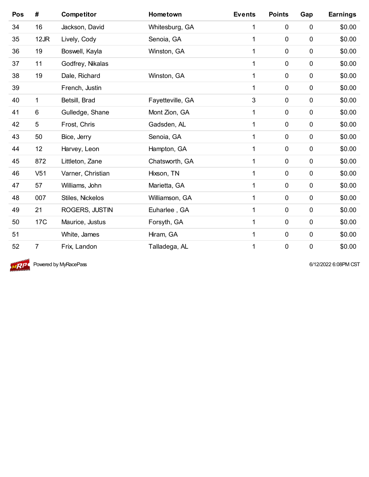| Pos | #               | <b>Competitor</b> | Hometown         | <b>Events</b> | <b>Points</b> | Gap         | <b>Earnings</b> |
|-----|-----------------|-------------------|------------------|---------------|---------------|-------------|-----------------|
| 34  | 16              | Jackson, David    | Whitesburg, GA   | 1             | $\pmb{0}$     | $\pmb{0}$   | \$0.00          |
| 35  | 12JR            | Lively, Cody      | Senoia, GA       | 1             | $\mathbf 0$   | $\mathbf 0$ | \$0.00          |
| 36  | 19              | Boswell, Kayla    | Winston, GA      | 1             | $\mathbf 0$   | $\mathbf 0$ | \$0.00          |
| 37  | 11              | Godfrey, Nikalas  |                  | 1             | $\mathbf 0$   | $\mathbf 0$ | \$0.00          |
| 38  | 19              | Dale, Richard     | Winston, GA      | 1             | $\mathbf 0$   | $\pmb{0}$   | \$0.00          |
| 39  |                 | French, Justin    |                  | 1             | $\mathbf 0$   | $\mathbf 0$ | \$0.00          |
| 40  | 1               | Betsill, Brad     | Fayetteville, GA | 3             | $\mathbf 0$   | $\mathbf 0$ | \$0.00          |
| 41  | $\,6$           | Gulledge, Shane   | Mont Zion, GA    | 1             | $\mathbf 0$   | $\mathbf 0$ | \$0.00          |
| 42  | 5               | Frost, Chris      | Gadsden, AL      | 1             | $\mathbf 0$   | $\pmb{0}$   | \$0.00          |
| 43  | 50              | Bice, Jerry       | Senoia, GA       | 1             | 0             | $\mathbf 0$ | \$0.00          |
| 44  | 12              | Harvey, Leon      | Hampton, GA      | 1             | $\mathbf 0$   | $\mathbf 0$ | \$0.00          |
| 45  | 872             | Littleton, Zane   | Chatsworth, GA   | 1             | $\mathbf 0$   | $\mathbf 0$ | \$0.00          |
| 46  | V <sub>51</sub> | Varner, Christian | Hixson, TN       | 1             | $\mathbf 0$   | $\pmb{0}$   | \$0.00          |
| 47  | 57              | Williams, John    | Marietta, GA     | 1             | $\mathbf 0$   | $\mathbf 0$ | \$0.00          |
| 48  | 007             | Stiles, Nickelos  | Williamson, GA   | 1             | $\mathbf 0$   | $\mathbf 0$ | \$0.00          |
| 49  | 21              | ROGERS, JUSTIN    | Euharlee, GA     | 1             | $\mathbf 0$   | $\pmb{0}$   | \$0.00          |
| 50  | 17 <sub>C</sub> | Maurice, Justus   | Forsyth, GA      | 1             | $\mathbf 0$   | $\mathbf 0$ | \$0.00          |
| 51  |                 | White, James      | Hiram, GA        | 1             | $\mathbf 0$   | $\pmb{0}$   | \$0.00          |
| 52  | 7               | Frix, Landon      | Talladega, AL    | 1             | $\mathbf 0$   | $\mathbf 0$ | \$0.00          |



**MRP** Powered by MyRacePass **6/12/2022** 6:08PM CST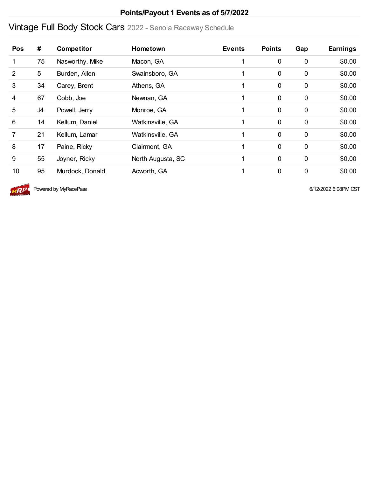#### **Points/Payout 1 Events as of 5/7/2022**

# Vintage Full Body Stock Cars 2022 - Senoia Raceway Schedule

| <b>Pos</b> | #  | <b>Competitor</b> | <b>Hometown</b>   | <b>Events</b> | <b>Points</b> | Gap         | <b>Earnings</b> |
|------------|----|-------------------|-------------------|---------------|---------------|-------------|-----------------|
| 1          | 75 | Nasworthy, Mike   | Macon, GA         |               | $\mathbf 0$   | $\mathbf 0$ | \$0.00          |
| 2          | 5  | Burden, Allen     | Swainsboro, GA    |               | $\mathbf 0$   | $\mathbf 0$ | \$0.00          |
| 3          | 34 | Carey, Brent      | Athens, GA        |               | $\mathbf 0$   | $\mathbf 0$ | \$0.00          |
| 4          | 67 | Cobb, Joe         | Newnan, GA        |               | $\mathbf 0$   | $\mathbf 0$ | \$0.00          |
| 5          | J4 | Powell, Jerry     | Monroe, GA        |               | $\mathbf 0$   | $\mathbf 0$ | \$0.00          |
| 6          | 14 | Kellum, Daniel    | Watkinsville, GA  |               | $\mathbf 0$   | $\mathbf 0$ | \$0.00          |
| 7          | 21 | Kellum, Lamar     | Watkinsville, GA  |               | $\mathbf 0$   | $\mathbf 0$ | \$0.00          |
| 8          | 17 | Paine, Ricky      | Clairmont, GA     |               | $\mathbf 0$   | $\mathbf 0$ | \$0.00          |
| 9          | 55 | Joyner, Ricky     | North Augusta, SC |               | $\mathbf 0$   | $\mathbf 0$ | \$0.00          |
| 10         | 95 | Murdock, Donald   | Acworth, GA       |               | $\mathbf 0$   | $\mathbf 0$ | \$0.00          |



 $\sqrt{AP}$  Powered by MyRacePass 6/12/2022 6:08PM CST